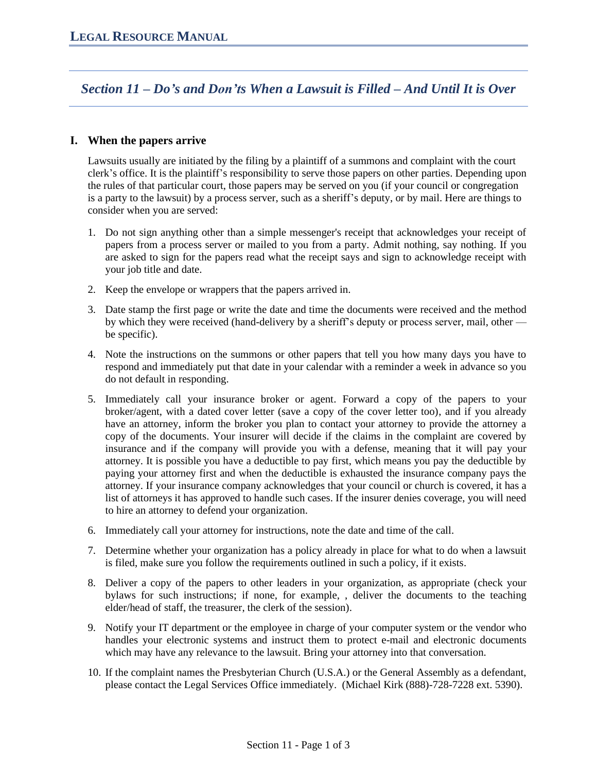*Section 11 – Do's and Don'ts When a Lawsuit is Filled – And Until It is Over*

## **I. When the papers arrive**

Lawsuits usually are initiated by the filing by a plaintiff of a summons and complaint with the court clerk's office. It is the plaintiff's responsibility to serve those papers on other parties. Depending upon the rules of that particular court, those papers may be served on you (if your council or congregation is a party to the lawsuit) by a process server, such as a sheriff's deputy, or by mail. Here are things to consider when you are served:

- 1. Do not sign anything other than a simple messenger's receipt that acknowledges your receipt of papers from a process server or mailed to you from a party. Admit nothing, say nothing. If you are asked to sign for the papers read what the receipt says and sign to acknowledge receipt with your job title and date.
- 2. Keep the envelope or wrappers that the papers arrived in.
- 3. Date stamp the first page or write the date and time the documents were received and the method by which they were received (hand-delivery by a sheriff's deputy or process server, mail, other be specific).
- 4. Note the instructions on the summons or other papers that tell you how many days you have to respond and immediately put that date in your calendar with a reminder a week in advance so you do not default in responding.
- 5. Immediately call your insurance broker or agent. Forward a copy of the papers to your broker/agent, with a dated cover letter (save a copy of the cover letter too), and if you already have an attorney, inform the broker you plan to contact your attorney to provide the attorney a copy of the documents. Your insurer will decide if the claims in the complaint are covered by insurance and if the company will provide you with a defense, meaning that it will pay your attorney. It is possible you have a deductible to pay first, which means you pay the deductible by paying your attorney first and when the deductible is exhausted the insurance company pays the attorney. If your insurance company acknowledges that your council or church is covered, it has a list of attorneys it has approved to handle such cases. If the insurer denies coverage, you will need to hire an attorney to defend your organization.
- 6. Immediately call your attorney for instructions, note the date and time of the call.
- 7. Determine whether your organization has a policy already in place for what to do when a lawsuit is filed, make sure you follow the requirements outlined in such a policy, if it exists.
- 8. Deliver a copy of the papers to other leaders in your organization, as appropriate (check your bylaws for such instructions; if none, for example, , deliver the documents to the teaching elder/head of staff, the treasurer, the clerk of the session).
- 9. Notify your IT department or the employee in charge of your computer system or the vendor who handles your electronic systems and instruct them to protect e-mail and electronic documents which may have any relevance to the lawsuit. Bring your attorney into that conversation.
- 10. If the complaint names the Presbyterian Church (U.S.A.) or the General Assembly as a defendant, please contact the Legal Services Office immediately. (Michael Kirk (888)-728-7228 ext. 5390).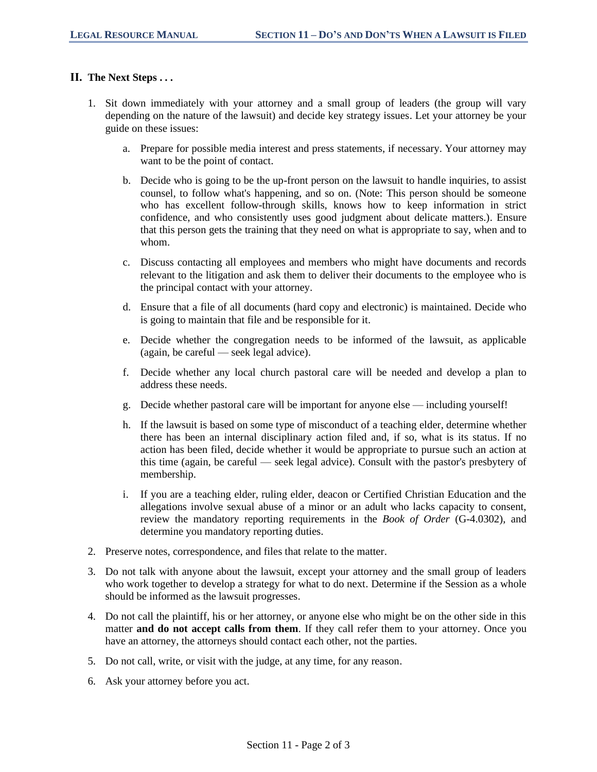## **II. The Next Steps . . .**

- 1. Sit down immediately with your attorney and a small group of leaders (the group will vary depending on the nature of the lawsuit) and decide key strategy issues. Let your attorney be your guide on these issues:
	- a. Prepare for possible media interest and press statements, if necessary. Your attorney may want to be the point of contact.
	- b. Decide who is going to be the up-front person on the lawsuit to handle inquiries, to assist counsel, to follow what's happening, and so on. (Note: This person should be someone who has excellent follow-through skills, knows how to keep information in strict confidence, and who consistently uses good judgment about delicate matters.). Ensure that this person gets the training that they need on what is appropriate to say, when and to whom.
	- c. Discuss contacting all employees and members who might have documents and records relevant to the litigation and ask them to deliver their documents to the employee who is the principal contact with your attorney.
	- d. Ensure that a file of all documents (hard copy and electronic) is maintained. Decide who is going to maintain that file and be responsible for it.
	- e. Decide whether the congregation needs to be informed of the lawsuit, as applicable (again, be careful — seek legal advice).
	- f. Decide whether any local church pastoral care will be needed and develop a plan to address these needs.
	- g. Decide whether pastoral care will be important for anyone else including yourself!
	- h. If the lawsuit is based on some type of misconduct of a teaching elder, determine whether there has been an internal disciplinary action filed and, if so, what is its status. If no action has been filed, decide whether it would be appropriate to pursue such an action at this time (again, be careful — seek legal advice). Consult with the pastor's presbytery of membership.
	- i. If you are a teaching elder, ruling elder, deacon or Certified Christian Education and the allegations involve sexual abuse of a minor or an adult who lacks capacity to consent, review the mandatory reporting requirements in the *Book of Order* (G-4.0302), and determine you mandatory reporting duties.
- 2. Preserve notes, correspondence, and files that relate to the matter.
- 3. Do not talk with anyone about the lawsuit, except your attorney and the small group of leaders who work together to develop a strategy for what to do next. Determine if the Session as a whole should be informed as the lawsuit progresses.
- 4. Do not call the plaintiff, his or her attorney, or anyone else who might be on the other side in this matter **and do not accept calls from them**. If they call refer them to your attorney. Once you have an attorney, the attorneys should contact each other, not the parties.
- 5. Do not call, write, or visit with the judge, at any time, for any reason.
- 6. Ask your attorney before you act.